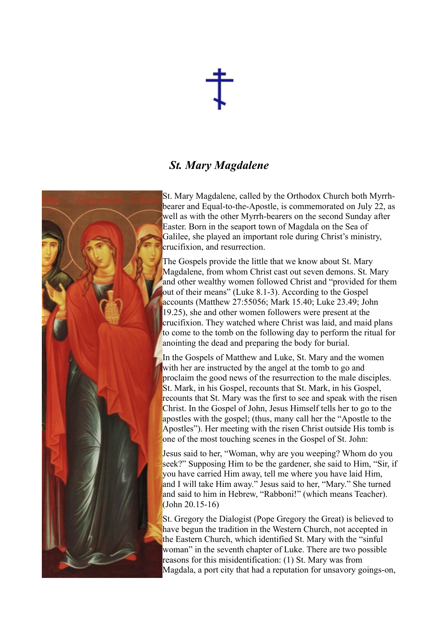

## *St. Mary Magdalene*



St. Mary Magdalene, called by the Orthodox Church both Myrrhbearer and Equal-to-the-Apostle, is commemorated on July 22, as well as with the other Myrrh-bearers on the second Sunday after Easter. Born in the seaport town of Magdala on the Sea of Galilee, she played an important role during Christ's ministry, crucifixion, and resurrection.

The Gospels provide the little that we know about St. Mary Magdalene, from whom Christ cast out seven demons. St. Mary and other wealthy women followed Christ and "provided for them out of their means" (Luke 8.1-3). According to the Gospel accounts (Matthew 27:55056; Mark 15.40; Luke 23.49; John 19.25), she and other women followers were present at the crucifixion. They watched where Christ was laid, and maid plans to come to the tomb on the following day to perform the ritual for anointing the dead and preparing the body for burial.

In the Gospels of Matthew and Luke, St. Mary and the women with her are instructed by the angel at the tomb to go and proclaim the good news of the resurrection to the male disciples. St. Mark, in his Gospel, recounts that St. Mark, in his Gospel, recounts that St. Mary was the first to see and speak with the risen Christ. In the Gospel of John, Jesus Himself tells her to go to the apostles with the gospel; (thus, many call her the "Apostle to the Apostles"). Her meeting with the risen Christ outside His tomb is one of the most touching scenes in the Gospel of St. John:

Jesus said to her, "Woman, why are you weeping? Whom do you seek?" Supposing Him to be the gardener, she said to Him. "Sir, if you have carried Him away, tell me where you have laid Him, and I will take Him away." Jesus said to her, "Mary." She turned and said to him in Hebrew, "Rabboni!" (which means Teacher). (John 20.15-16)

St. Gregory the Dialogist (Pope Gregory the Great) is believed to have begun the tradition in the Western Church, not accepted in the Eastern Church, which identified St. Mary with the "sinful woman" in the seventh chapter of Luke. There are two possible reasons for this misidentification: (1) St. Mary was from Magdala, a port city that had a reputation for unsavory goings-on,